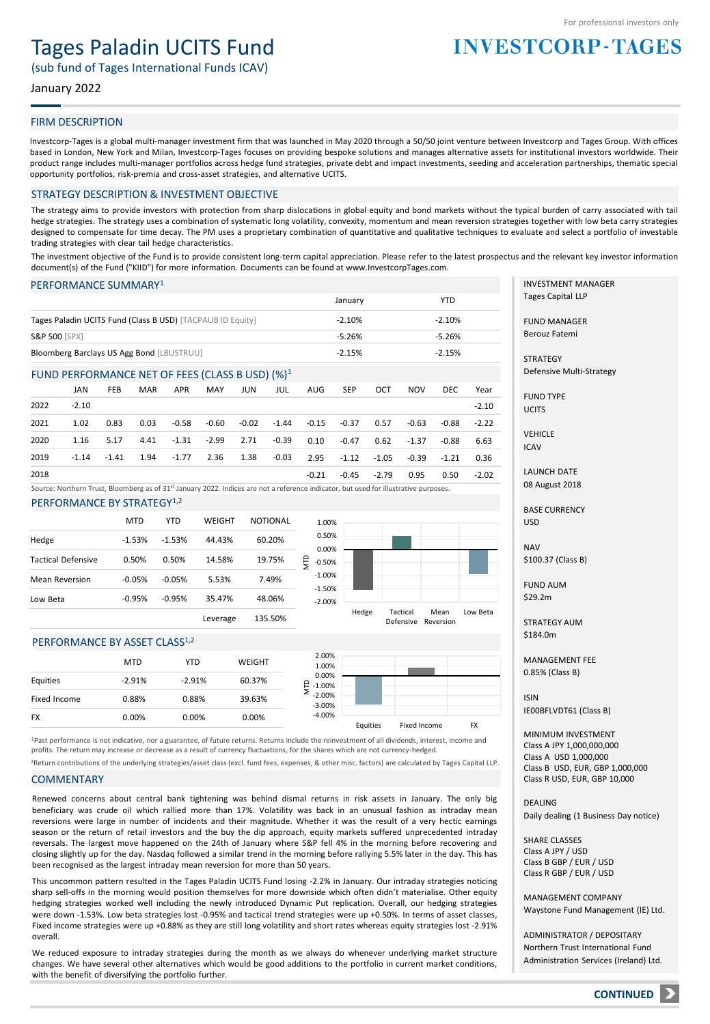## Tages Paladin UCITS Fund

(sub fund of Tages International Funds ICAV)

#### January 2022

#### FIRM DESCRIPTION

Investcorp-Tages is a global multi-manager investment firm that was launched in May 2020 through a 50/50 joint venture between Investcorp and Tages Group. With offices based in London, New York and Milan, Investcorp-Tages focuses on providing bespoke solutions and manages alternative assets for institutional investors worldwide. Their product range includes multi-manager portfolios across hedge fund strategies, private debt and impact investments, seeding and acceleration partnerships, thematic special opportunity portfolios, risk-premia and cross-asset strategies, and alternative UCITS.

#### STRATEGY DESCRIPTION & INVESTMENT OBJECTIVE

The strategy aims to provide investors with protection from sharp dislocations in global equity and bond markets without the typical burden of carry associated with tail hedge strategies. The strategy uses a combination of systematic long volatility, convexity, momentum and mean reversion strategies together with low beta carry strategies designed to compensate for time decay. The PM uses a proprietary combination of quantitative and qualitative techniques to evaluate and select a portfolio of investable trading strategies with clear tail hedge characteristics.

The investment objective of the Fund is to provide consistent long-term capital appreciation. Please refer to the latest prospectus and the relevant key investor information document(s) of the Fund ("KIID") for more information. Documents can be found at www.InvestcorpTages.com.

#### PERFORMANCE SUMMARY<sup>1</sup>

|                                                            | January  | YTD      |
|------------------------------------------------------------|----------|----------|
| Tages Paladin UCITS Fund (Class B USD) [TACPAUB ID Equity] | $-2.10%$ | $-2.10%$ |
| <b>S&amp;P 500 [SPX]</b>                                   | $-5.26%$ | $-5.26%$ |
| Bloomberg Barclays US Agg Bond [LBUSTRUU]                  | $-2.15%$ | $-2.15%$ |

#### FUND PERFORMANCE NET OF FEES (CLASS B USD) (%)<sup>1</sup>

|      | JAN     | <b>FEB</b> | <b>MAR</b> | <b>APR</b> | MAY     | JUN   | JUL     | AUG     | <b>SEP</b> | OCT     | <b>NOV</b> | DEC.    | Year    |
|------|---------|------------|------------|------------|---------|-------|---------|---------|------------|---------|------------|---------|---------|
| 2022 | $-2.10$ |            |            |            |         |       |         |         |            |         |            |         | $-2.10$ |
| 2021 | 1.02    | 0.83       | 0.03       | -0.58      | -0.60   | -0.02 | $-1.44$ | -0.15   | -0.37      | 0.57    | $-0.63$    | -0.88   | $-2.22$ |
| 2020 | 1.16    | 5.17       | 4.41       | -1.31      | $-2.99$ | 2.71  | $-0.39$ | 0.10    | -0.47      | 0.62    | $-1.37$    | $-0.88$ | 6.63    |
| 2019 | $-1.14$ | $-1.41$    | 1.94       | $-1.77$    | 2.36    | 1.38  | $-0.03$ | 2.95    | $-1.12$    | -1.05   | $-0.39$    | $-1.21$ | 0.36    |
| 2018 |         |            |            |            |         |       |         | $-0.21$ | -0.45      | $-2.79$ | 0.95       | 0.50    | $-2.02$ |

Source: Northern Trust, Bloomberg as of 31st January 2022. Indices are not a reference indicator, but used for illustrative purposes.

PERFORMANCE BY STRATEGY<sup>1,2</sup>

|                       | <b>MTD</b> | YTD      | WEIGHT   | <b>NOTIONAL</b> | 1.00               |
|-----------------------|------------|----------|----------|-----------------|--------------------|
| Hedge                 | $-1.53%$   | $-1.53%$ | 44.43%   | 60.20%          | 0.50<br>0.00       |
| Tactical Defensive    | 0.50%      | 0.50%    | 14.58%   | 19.75%          | NTD<br>$-0.50$     |
| <b>Mean Reversion</b> | $-0.05%$   | $-0.05%$ | 5.53%    | 7.49%           | $-1.00$<br>$-1.50$ |
| Low Beta              | $-0.95%$   | $-0.95%$ | 35.47%   | 48.06%          | $-2.00$            |
|                       |            |          | Leverage | 135.50%         |                    |



#### PERFORMANCE BY ASSET CLASS<sup>1,2</sup>

|              | <b>MTD</b> | YTD      | WEIGHT | 2.00%<br>1.00%            |          |              |    |
|--------------|------------|----------|--------|---------------------------|----------|--------------|----|
| Equities     | $-2.91%$   | $-2.91%$ | 60.37% | 0.00%<br>은<br>1.00%       |          |              |    |
| Fixed Income | 0.88%      | 0.88%    | 39.63% | $-2.00%$<br>⋍<br>$-3.00%$ |          |              |    |
| FX           | 0.00%      | 0.00%    | 0.00%  | $-4.00%$                  | Equities | Fixed Income | FX |
|              |            |          |        |                           |          |              |    |

<sup>1</sup>Past performance is not indicative, nor a guarantee, of future returns. Returns include the reinvestment of all dividends, interest, income and profits. The return may increase or decrease as a result of currency fluctuations, for the shares which are not currency-hedged.

<sup>2</sup>Return contributions of the underlying strategies/asset class (excl. fund fees, expenses, & other misc. factors) are calculated by Tages Capital LLP.

#### **COMMENTARY**

Renewed concerns about central bank tightening was behind dismal returns in risk assets in January. The only big beneficiary was crude oil which rallied more than 17%. Volatility was back in an unusual fashion as intraday mean reversions were large in number of incidents and their magnitude. Whether it was the result of a very hectic earnings season or the return of retail investors and the buy the dip approach, equity markets suffered unprecedented intraday reversals. The largest move happened on the 24th of January where S&P fell 4% in the morning before recovering and closing slightly up for the day. Nasdaq followed a similar trend in the morning before rallying 5.5% later in the day. This has been recognised as the largest intraday mean reversion for more than 50 years.

This uncommon pattern resulted in the Tages Paladin UCITS Fund losing -2.2% in January. Our intraday strategies noticing sharp sell-offs in the morning would position themselves for more downside which often didn't materialise. Other equity hedging strategies worked well including the newly introduced Dynamic Put replication. Overall, our hedging strategies were down -1.53%. Low beta strategies lost -0.95% and tactical trend strategies were up +0.50%. In terms of asset classes, Fixed income strategies were up +0.88% as they are still long volatility and short rates whereas equity strategies lost -2.91% overall.

We reduced exposure to intraday strategies during the month as we always do whenever underlying market structure changes. We have several other alternatives which would be good additions to the portfolio in current market conditions, with the benefit of diversifying the portfolio further.

INVESTMENT MANAGER Tages Capital LLP

**INVESTCORP-TAGES** 

FUND MANAGER Berouz Fatemi

**STRATEGY** Defensive Multi-Strategy

FUND TYPE **UCITS** 

VEHICLE ICAV

LAUNCH DATE 08 August 2018

BASE CURRENCY

**NAV** 

\$184.0m

MANAGEMENT FEE

ISIN IE00BFLVDT61 (Class B)

Class B USD, EUR, GBP 1,000,000 Class R USD, EUR, GBP 10,000

DEALING Daily dealing (1 Business Day notice)

SHARE CLASSES Class A JPY / USD Class B GBP / EUR / USD Class R GBP / EUR / USD

MANAGEMENT COMPANY Waystone Fund Management (IE) Ltd.

ADMINISTRATOR / DEPOSITARY Northern Trust International Fund Administration Services (Ireland) Ltd.

USD

\$100.37 (Class B)

FUND AUM \$29.2m

STRATEGY AUM

# 0.85% (Class B)

MINIMUM INVESTMENT Class A JPY 1,000,000,000

Class A USD 1,000,000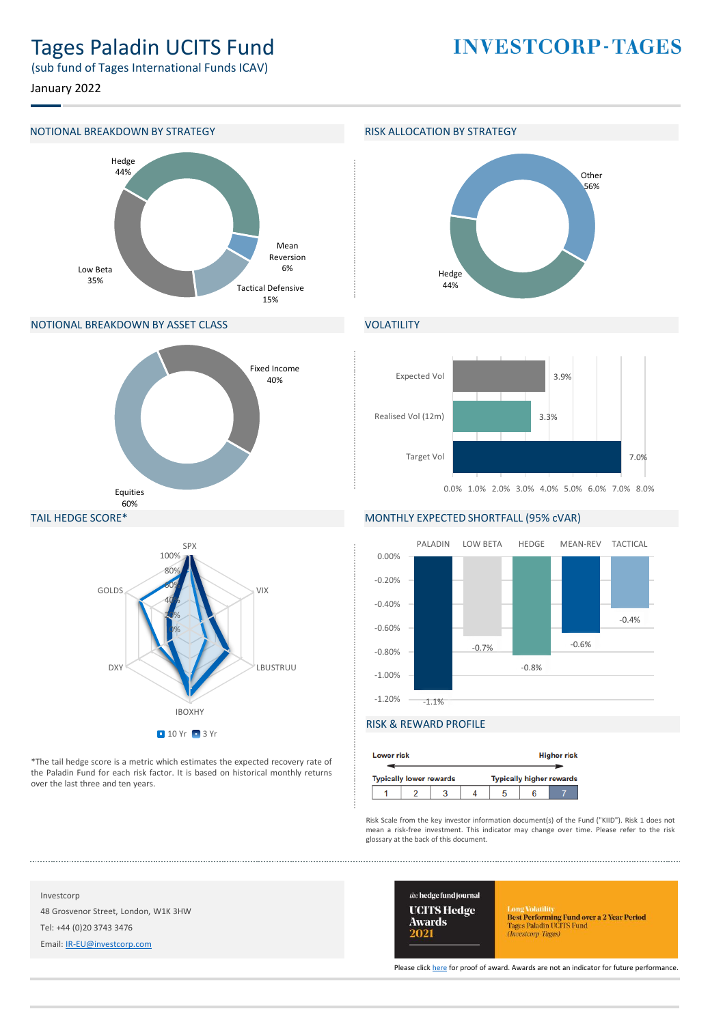### Tages Paladin UCITS Fund

**INVESTCORP-TAGES** 

(sub fund of Tages International Funds ICAV)

January 2022

#### NOTIONAL BREAKDOWN BY STRATEGY **RISK ALLOCATION BY STRATEGY**



#### NOTIONAL BREAKDOWN BY ASSET CLASS



#### TAIL HEDGE SCORE\*



\*The tail hedge score is a metric which estimates the expected recovery rate of the Paladin Fund for each risk factor. It is based on historical monthly returns over the last three and ten years.



### **VOLATILITY**



#### MONTHLY EXPECTED SHORTFALL (95% cVAR)



#### RISK & REWARD PROFILE

| <b>Lower risk</b> |                                |  |                                 | <b>Higher risk</b> |
|-------------------|--------------------------------|--|---------------------------------|--------------------|
|                   | <b>Typically lower rewards</b> |  | <b>Typically higher rewards</b> |                    |
|                   |                                |  |                                 |                    |

Risk Scale from the key investor information document(s) of the Fund ("KIID"). Risk 1 does not mean a risk-free investment. This indicator may change over time. Please refer to the risk glossary at the back of this document.

Investcorp 48 Grosvenor Street, London, W1K 3HW Tel: +44 (0)20 3743 3476

Email: [IR-EU@investcorp.com](mailto:IR-EU@investcorp.com)



Long Volatilus<br> **Best Performing Fund over a 2 Year Period**<br>
Tages Paladin UCITS Fund<br> *(Investorp-Tages)* 

Please click [here](https://thehedgefundjournal.com/wp-content/uploads/2021/03/UCITS-Hedge-Awards-2021-Winners-List.pdf) for proof of award. Awards are not an indicator for future performance.